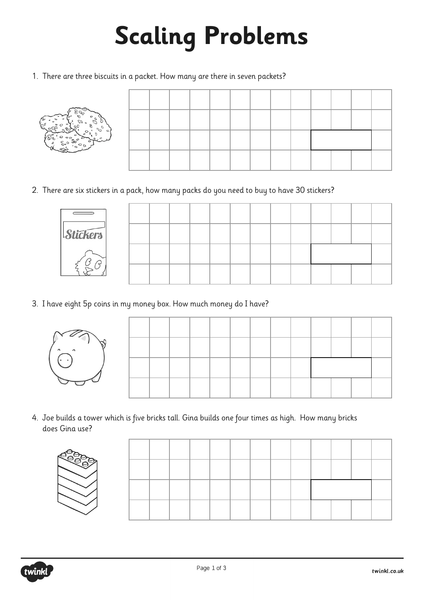## **Scaling Problems**

1. There are three biscuits in a packet. How many are there in seven packets?



2. There are six stickers in a pack, how many packs do you need to buy to have 30 stickers?

| <i>Stickers</i> |  |  |  |  |  |  |  |
|-----------------|--|--|--|--|--|--|--|
|                 |  |  |  |  |  |  |  |
|                 |  |  |  |  |  |  |  |

3. I have eight 5p coins in my money box. How much money do I have?



4. Joe builds a tower which is five bricks tall. Gina builds one four times as high. How many bricks does Gina use?



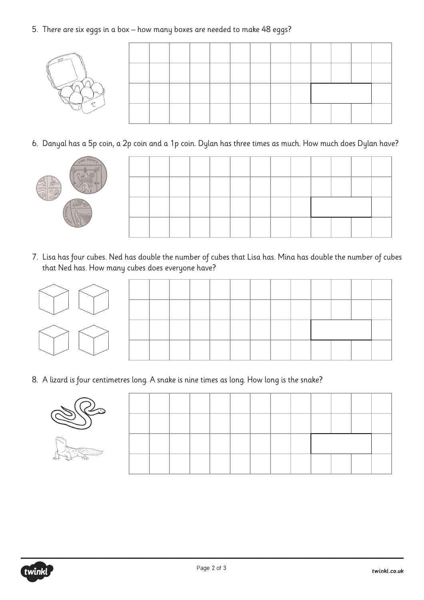5. There are six eggs in a box – how many boxes are needed to make 48 eggs?



6. Danyal has a 5p coin, a 2p coin and a 1p coin. Dylan has three times as much. How much does Dylan have?



7. Lisa has four cubes. Ned has double the number of cubes that Lisa has. Mina has double the number of cubes that Ned has. How many cubes does everyone have?

8. A lizard is four centimetres long. A snake is nine times as long. How long is the snake?

| itterig<br>÷<br>÷<br>٠<br>ε, |  |
|------------------------------|--|